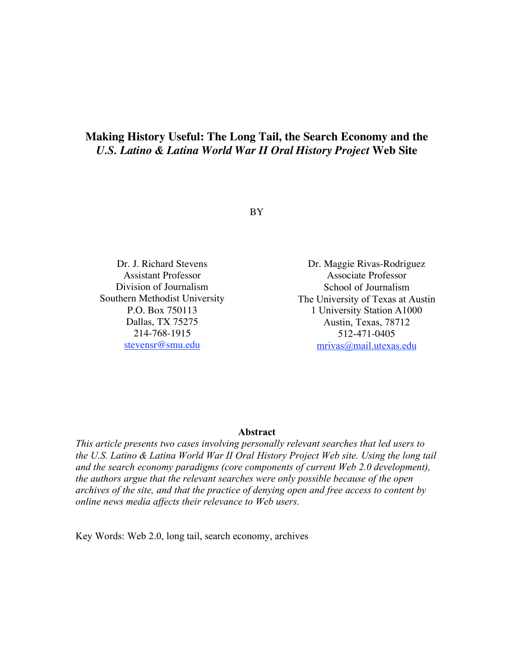# **Making History Useful: The Long Tail, the Search Economy and the** *U.S. Latino & Latina World War II Oral History Project* **Web Site**

BY

Dr. J. Richard Stevens Assistant Professor Division of Journalism Southern Methodist University P.O. Box 750113 Dallas, TX 75275 214-768-1915 stevensr@smu.edu

Dr. Maggie Rivas-Rodriguez Associate Professor School of Journalism The University of Texas at Austin 1 University Station A1000 Austin, Texas, 78712 512-471-0405 mrivas@mail.utexas.edu

#### **Abstract**

*This article presents two cases involving personally relevant searches that led users to the U.S. Latino & Latina World War II Oral History Project Web site. Using the long tail and the search economy paradigms (core components of current Web 2.0 development), the authors argue that the relevant searches were only possible because of the open archives of the site, and that the practice of denying open and free access to content by online news media affects their relevance to Web users.*

Key Words: Web 2.0, long tail, search economy, archives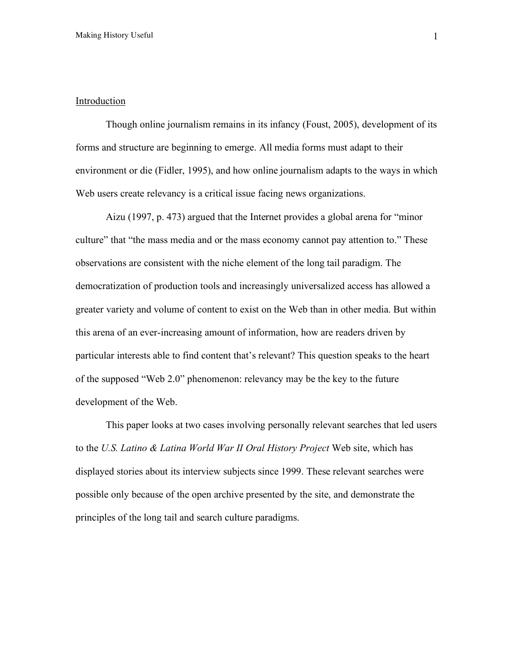## **Introduction**

Though online journalism remains in its infancy (Foust, 2005), development of its forms and structure are beginning to emerge. All media forms must adapt to their environment or die (Fidler, 1995), and how online journalism adapts to the ways in which Web users create relevancy is a critical issue facing news organizations.

Aizu (1997, p. 473) argued that the Internet provides a global arena for "minor culture" that "the mass media and or the mass economy cannot pay attention to." These observations are consistent with the niche element of the long tail paradigm. The democratization of production tools and increasingly universalized access has allowed a greater variety and volume of content to exist on the Web than in other media. But within this arena of an ever-increasing amount of information, how are readers driven by particular interests able to find content that's relevant? This question speaks to the heart of the supposed "Web 2.0" phenomenon: relevancy may be the key to the future development of the Web.

This paper looks at two cases involving personally relevant searches that led users to the *U.S. Latino & Latina World War II Oral History Project* Web site, which has displayed stories about its interview subjects since 1999. These relevant searches were possible only because of the open archive presented by the site, and demonstrate the principles of the long tail and search culture paradigms.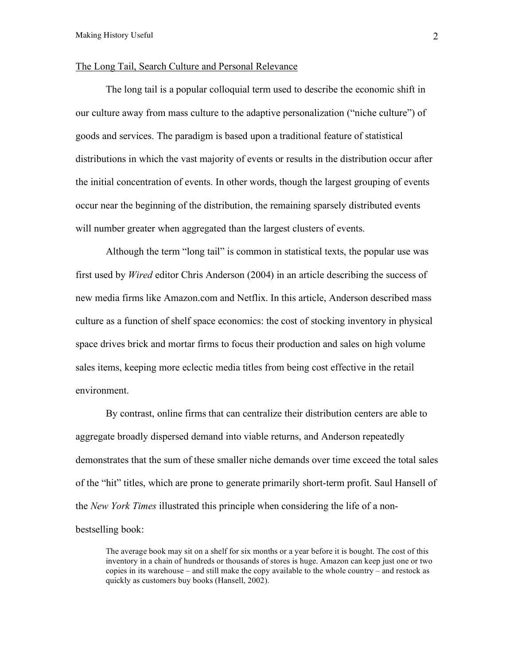### The Long Tail, Search Culture and Personal Relevance

The long tail is a popular colloquial term used to describe the economic shift in our culture away from mass culture to the adaptive personalization ("niche culture") of goods and services. The paradigm is based upon a traditional feature of statistical distributions in which the vast majority of events or results in the distribution occur after the initial concentration of events. In other words, though the largest grouping of events occur near the beginning of the distribution, the remaining sparsely distributed events will number greater when aggregated than the largest clusters of events.

Although the term "long tail" is common in statistical texts, the popular use was first used by *Wired* editor Chris Anderson (2004) in an article describing the success of new media firms like Amazon.com and Netflix. In this article, Anderson described mass culture as a function of shelf space economics: the cost of stocking inventory in physical space drives brick and mortar firms to focus their production and sales on high volume sales items, keeping more eclectic media titles from being cost effective in the retail environment.

By contrast, online firms that can centralize their distribution centers are able to aggregate broadly dispersed demand into viable returns, and Anderson repeatedly demonstrates that the sum of these smaller niche demands over time exceed the total sales of the "hit" titles, which are prone to generate primarily short-term profit. Saul Hansell of the *New York Times* illustrated this principle when considering the life of a nonbestselling book:

The average book may sit on a shelf for six months or a year before it is bought. The cost of this inventory in a chain of hundreds or thousands of stores is huge. Amazon can keep just one or two copies in its warehouse – and still make the copy available to the whole country – and restock as quickly as customers buy books (Hansell, 2002).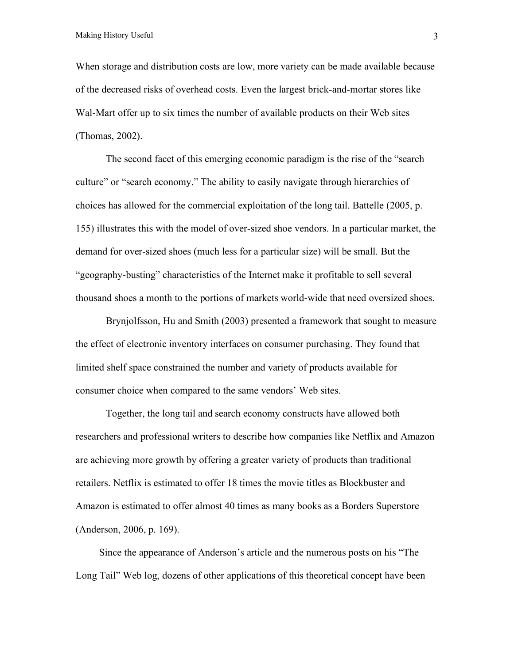When storage and distribution costs are low, more variety can be made available because of the decreased risks of overhead costs. Even the largest brick-and-mortar stores like Wal-Mart offer up to six times the number of available products on their Web sites (Thomas, 2002).

The second facet of this emerging economic paradigm is the rise of the "search culture" or "search economy." The ability to easily navigate through hierarchies of choices has allowed for the commercial exploitation of the long tail. Battelle (2005, p. 155) illustrates this with the model of over-sized shoe vendors. In a particular market, the demand for over-sized shoes (much less for a particular size) will be small. But the "geography-busting" characteristics of the Internet make it profitable to sell several thousand shoes a month to the portions of markets world-wide that need oversized shoes.

Brynjolfsson, Hu and Smith (2003) presented a framework that sought to measure the effect of electronic inventory interfaces on consumer purchasing. They found that limited shelf space constrained the number and variety of products available for consumer choice when compared to the same vendors' Web sites.

Together, the long tail and search economy constructs have allowed both researchers and professional writers to describe how companies like Netflix and Amazon are achieving more growth by offering a greater variety of products than traditional retailers. Netflix is estimated to offer 18 times the movie titles as Blockbuster and Amazon is estimated to offer almost 40 times as many books as a Borders Superstore (Anderson, 2006, p. 169).

Since the appearance of Anderson's article and the numerous posts on his "The Long Tail" Web log, dozens of other applications of this theoretical concept have been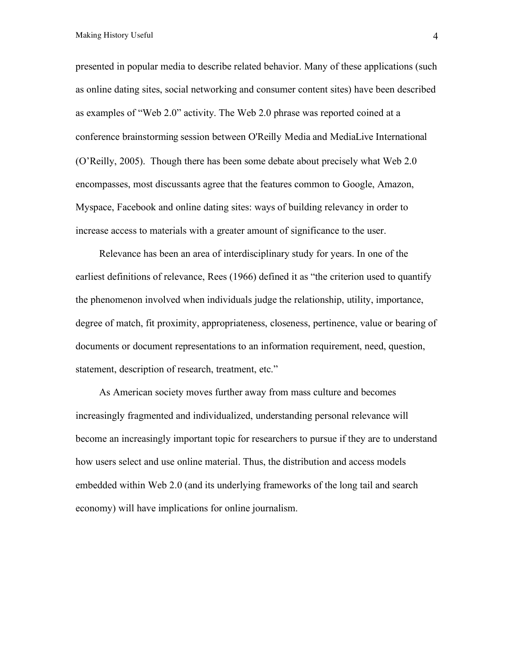Making History Useful 4

presented in popular media to describe related behavior. Many of these applications (such as online dating sites, social networking and consumer content sites) have been described as examples of "Web 2.0" activity. The Web 2.0 phrase was reported coined at a conference brainstorming session between O'Reilly Media and MediaLive International (O'Reilly, 2005). Though there has been some debate about precisely what Web 2.0 encompasses, most discussants agree that the features common to Google, Amazon, Myspace, Facebook and online dating sites: ways of building relevancy in order to increase access to materials with a greater amount of significance to the user.

Relevance has been an area of interdisciplinary study for years. In one of the earliest definitions of relevance, Rees (1966) defined it as "the criterion used to quantify the phenomenon involved when individuals judge the relationship, utility, importance, degree of match, fit proximity, appropriateness, closeness, pertinence, value or bearing of documents or document representations to an information requirement, need, question, statement, description of research, treatment, etc."

As American society moves further away from mass culture and becomes increasingly fragmented and individualized, understanding personal relevance will become an increasingly important topic for researchers to pursue if they are to understand how users select and use online material. Thus, the distribution and access models embedded within Web 2.0 (and its underlying frameworks of the long tail and search economy) will have implications for online journalism.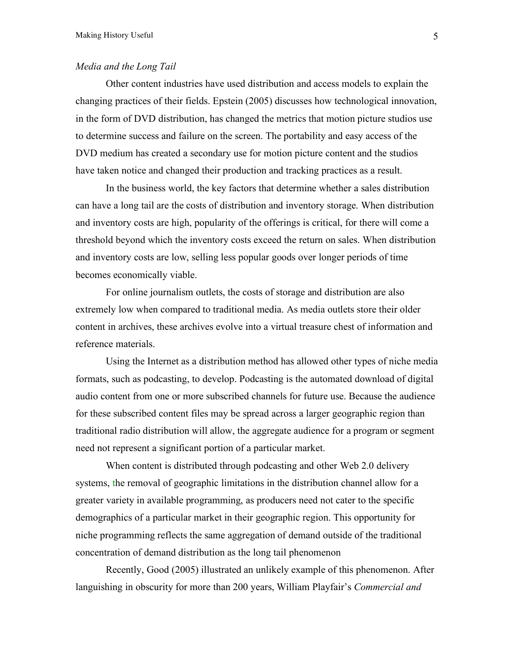# *Media and the Long Tail*

Other content industries have used distribution and access models to explain the changing practices of their fields. Epstein (2005) discusses how technological innovation, in the form of DVD distribution, has changed the metrics that motion picture studios use to determine success and failure on the screen. The portability and easy access of the DVD medium has created a secondary use for motion picture content and the studios have taken notice and changed their production and tracking practices as a result.

In the business world, the key factors that determine whether a sales distribution can have a long tail are the costs of distribution and inventory storage. When distribution and inventory costs are high, popularity of the offerings is critical, for there will come a threshold beyond which the inventory costs exceed the return on sales. When distribution and inventory costs are low, selling less popular goods over longer periods of time becomes economically viable.

For online journalism outlets, the costs of storage and distribution are also extremely low when compared to traditional media. As media outlets store their older content in archives, these archives evolve into a virtual treasure chest of information and reference materials.

Using the Internet as a distribution method has allowed other types of niche media formats, such as podcasting, to develop. Podcasting is the automated download of digital audio content from one or more subscribed channels for future use. Because the audience for these subscribed content files may be spread across a larger geographic region than traditional radio distribution will allow, the aggregate audience for a program or segment need not represent a significant portion of a particular market.

When content is distributed through podcasting and other Web 2.0 delivery systems, the removal of geographic limitations in the distribution channel allow for a greater variety in available programming, as producers need not cater to the specific demographics of a particular market in their geographic region. This opportunity for niche programming reflects the same aggregation of demand outside of the traditional concentration of demand distribution as the long tail phenomenon

Recently, Good (2005) illustrated an unlikely example of this phenomenon. After languishing in obscurity for more than 200 years, William Playfair's *Commercial and*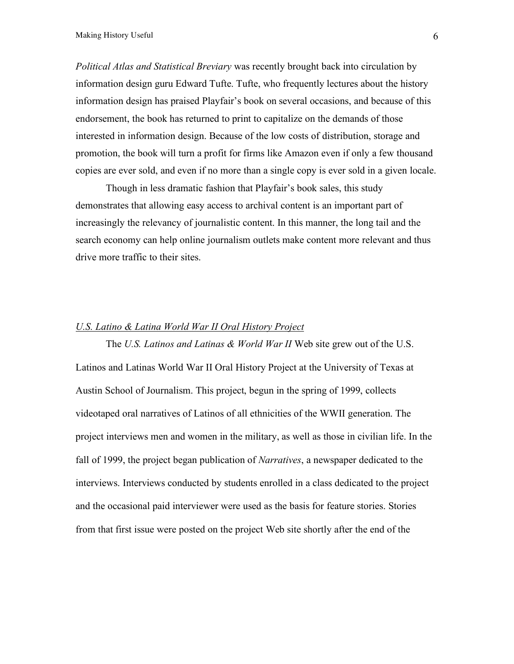*Political Atlas and Statistical Breviary* was recently brought back into circulation by information design guru Edward Tufte. Tufte, who frequently lectures about the history information design has praised Playfair's book on several occasions, and because of this endorsement, the book has returned to print to capitalize on the demands of those interested in information design. Because of the low costs of distribution, storage and promotion, the book will turn a profit for firms like Amazon even if only a few thousand copies are ever sold, and even if no more than a single copy is ever sold in a given locale.

Though in less dramatic fashion that Playfair's book sales, this study demonstrates that allowing easy access to archival content is an important part of increasingly the relevancy of journalistic content. In this manner, the long tail and the search economy can help online journalism outlets make content more relevant and thus drive more traffic to their sites.

# *U.S. Latino & Latina World War II Oral History Project*

The *U.S. Latinos and Latinas & World War II* Web site grew out of the U.S. Latinos and Latinas World War II Oral History Project at the University of Texas at Austin School of Journalism. This project, begun in the spring of 1999, collects videotaped oral narratives of Latinos of all ethnicities of the WWII generation. The project interviews men and women in the military, as well as those in civilian life. In the fall of 1999, the project began publication of *Narratives*, a newspaper dedicated to the interviews. Interviews conducted by students enrolled in a class dedicated to the project and the occasional paid interviewer were used as the basis for feature stories. Stories from that first issue were posted on the project Web site shortly after the end of the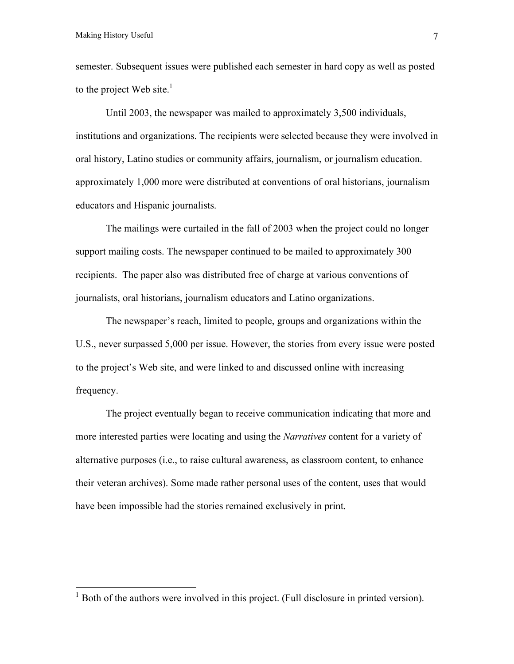semester. Subsequent issues were published each semester in hard copy as well as posted to the project Web site. $<sup>1</sup>$ </sup>

Until 2003, the newspaper was mailed to approximately 3,500 individuals, institutions and organizations. The recipients were selected because they were involved in oral history, Latino studies or community affairs, journalism, or journalism education. approximately 1,000 more were distributed at conventions of oral historians, journalism educators and Hispanic journalists.

The mailings were curtailed in the fall of 2003 when the project could no longer support mailing costs. The newspaper continued to be mailed to approximately 300 recipients. The paper also was distributed free of charge at various conventions of journalists, oral historians, journalism educators and Latino organizations.

The newspaper's reach, limited to people, groups and organizations within the U.S., never surpassed 5,000 per issue. However, the stories from every issue were posted to the project's Web site, and were linked to and discussed online with increasing frequency.

The project eventually began to receive communication indicating that more and more interested parties were locating and using the *Narratives* content for a variety of alternative purposes (i.e., to raise cultural awareness, as classroom content, to enhance their veteran archives). Some made rather personal uses of the content, uses that would have been impossible had the stories remained exclusively in print.

<sup>&</sup>lt;sup>1</sup> Both of the authors were involved in this project. (Full disclosure in printed version).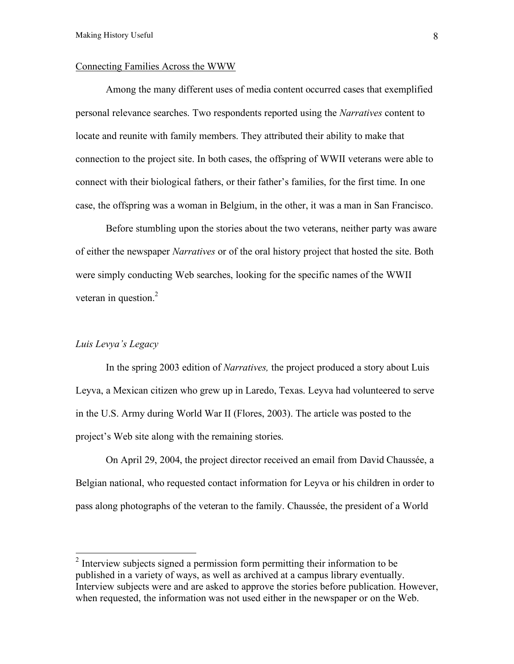### Connecting Families Across the WWW

Among the many different uses of media content occurred cases that exemplified personal relevance searches. Two respondents reported using the *Narratives* content to locate and reunite with family members. They attributed their ability to make that connection to the project site. In both cases, the offspring of WWII veterans were able to connect with their biological fathers, or their father's families, for the first time. In one case, the offspring was a woman in Belgium, in the other, it was a man in San Francisco.

Before stumbling upon the stories about the two veterans, neither party was aware of either the newspaper *Narratives* or of the oral history project that hosted the site. Both were simply conducting Web searches, looking for the specific names of the WWII veteran in question.<sup>2</sup>

# *Luis Levya's Legacy*

In the spring 2003 edition of *Narratives,* the project produced a story about Luis Leyva, a Mexican citizen who grew up in Laredo, Texas. Leyva had volunteered to serve in the U.S. Army during World War II (Flores, 2003). The article was posted to the project's Web site along with the remaining stories.

On April 29, 2004, the project director received an email from David Chaussée, a Belgian national, who requested contact information for Leyva or his children in order to pass along photographs of the veteran to the family. Chaussée, the president of a World

 $2$  Interview subjects signed a permission form permitting their information to be published in a variety of ways, as well as archived at a campus library eventually. Interview subjects were and are asked to approve the stories before publication. However, when requested, the information was not used either in the newspaper or on the Web.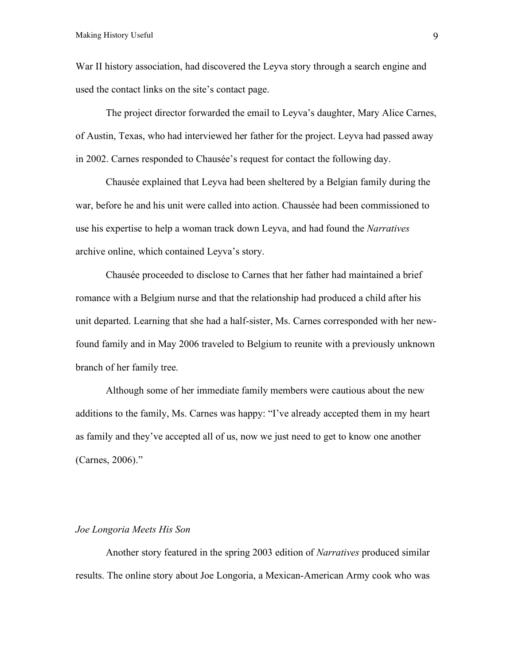War II history association, had discovered the Leyva story through a search engine and used the contact links on the site's contact page.

The project director forwarded the email to Leyva's daughter, Mary Alice Carnes, of Austin, Texas, who had interviewed her father for the project. Leyva had passed away in 2002. Carnes responded to Chausée's request for contact the following day.

Chausée explained that Leyva had been sheltered by a Belgian family during the war, before he and his unit were called into action. Chaussée had been commissioned to use his expertise to help a woman track down Leyva, and had found the *Narratives* archive online, which contained Leyva's story.

Chausée proceeded to disclose to Carnes that her father had maintained a brief romance with a Belgium nurse and that the relationship had produced a child after his unit departed. Learning that she had a half-sister, Ms. Carnes corresponded with her newfound family and in May 2006 traveled to Belgium to reunite with a previously unknown branch of her family tree.

Although some of her immediate family members were cautious about the new additions to the family, Ms. Carnes was happy: "I've already accepted them in my heart as family and they've accepted all of us, now we just need to get to know one another (Carnes, 2006)."

#### *Joe Longoria Meets His Son*

Another story featured in the spring 2003 edition of *Narratives* produced similar results. The online story about Joe Longoria, a Mexican-American Army cook who was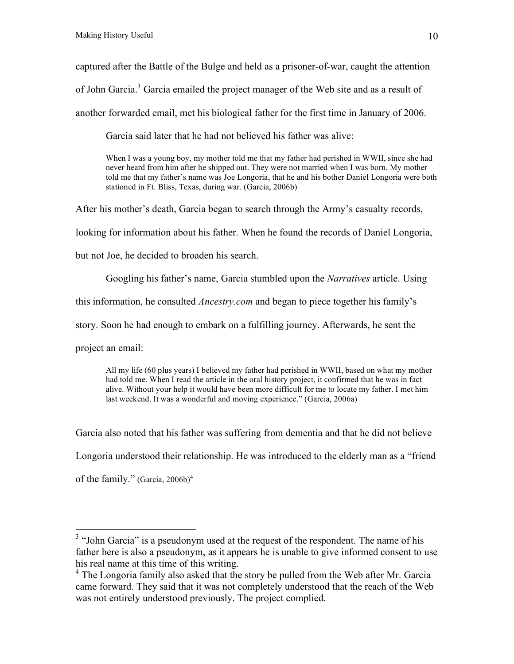captured after the Battle of the Bulge and held as a prisoner-of-war, caught the attention

of John Garcia.<sup>3</sup> Garcia emailed the project manager of the Web site and as a result of

another forwarded email, met his biological father for the first time in January of 2006.

Garcia said later that he had not believed his father was alive:

When I was a young boy, my mother told me that my father had perished in WWII, since she had never heard from him after he shipped out. They were not married when I was born. My mother told me that my father's name was Joe Longoria, that he and his bother Daniel Longoria were both stationed in Ft. Bliss, Texas, during war. (Garcia, 2006b)

After his mother's death, Garcia began to search through the Army's casualty records,

looking for information about his father. When he found the records of Daniel Longoria,

but not Joe, he decided to broaden his search.

Googling his father's name, Garcia stumbled upon the *Narratives* article. Using this information, he consulted *Ancestry.com* and began to piece together his family's story. Soon he had enough to embark on a fulfilling journey. Afterwards, he sent the project an email:

All my life (60 plus years) I believed my father had perished in WWII, based on what my mother had told me. When I read the article in the oral history project, it confirmed that he was in fact alive. Without your help it would have been more difficult for me to locate my father. I met him last weekend. It was a wonderful and moving experience." (Garcia, 2006a)

Garcia also noted that his father was suffering from dementia and that he did not believe Longoria understood their relationship. He was introduced to the elderly man as a "friend of the family." (Garcia, 2006b) 4

<sup>&</sup>lt;sup>3</sup> "John Garcia" is a pseudonym used at the request of the respondent. The name of his father here is also a pseudonym, as it appears he is unable to give informed consent to use his real name at this time of this writing.<br><sup>4</sup> The Longoria family also asked that the story be pulled from the Web after Mr. Garcia

came forward. They said that it was not completely understood that the reach of the Web was not entirely understood previously. The project complied.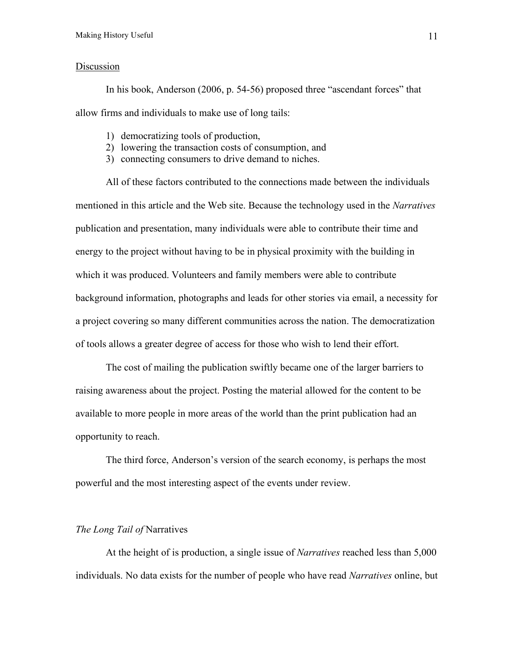# Discussion

In his book, Anderson (2006, p. 54-56) proposed three "ascendant forces" that allow firms and individuals to make use of long tails:

- 1) democratizing tools of production,
- 2) lowering the transaction costs of consumption, and
- 3) connecting consumers to drive demand to niches.

All of these factors contributed to the connections made between the individuals mentioned in this article and the Web site. Because the technology used in the *Narratives* publication and presentation, many individuals were able to contribute their time and energy to the project without having to be in physical proximity with the building in which it was produced. Volunteers and family members were able to contribute background information, photographs and leads for other stories via email, a necessity for a project covering so many different communities across the nation. The democratization of tools allows a greater degree of access for those who wish to lend their effort.

The cost of mailing the publication swiftly became one of the larger barriers to raising awareness about the project. Posting the material allowed for the content to be available to more people in more areas of the world than the print publication had an opportunity to reach.

The third force, Anderson's version of the search economy, is perhaps the most powerful and the most interesting aspect of the events under review.

### *The Long Tail of* Narratives

At the height of is production, a single issue of *Narratives* reached less than 5,000 individuals. No data exists for the number of people who have read *Narratives* online, but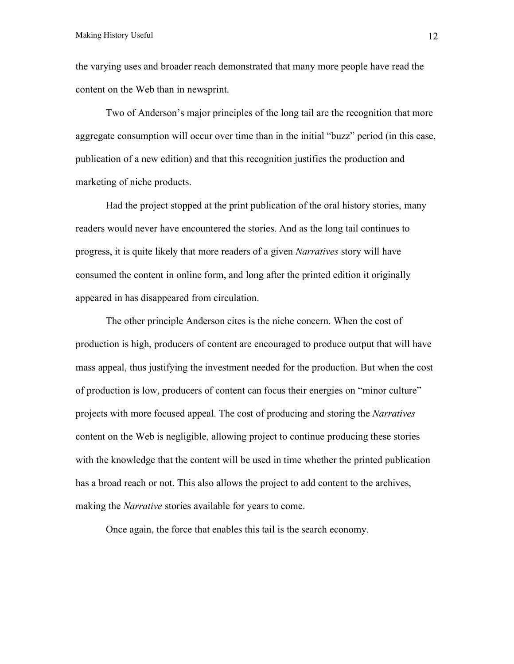the varying uses and broader reach demonstrated that many more people have read the content on the Web than in newsprint.

Two of Anderson's major principles of the long tail are the recognition that more aggregate consumption will occur over time than in the initial "buzz" period (in this case, publication of a new edition) and that this recognition justifies the production and marketing of niche products.

Had the project stopped at the print publication of the oral history stories, many readers would never have encountered the stories. And as the long tail continues to progress, it is quite likely that more readers of a given *Narratives* story will have consumed the content in online form, and long after the printed edition it originally appeared in has disappeared from circulation.

The other principle Anderson cites is the niche concern. When the cost of production is high, producers of content are encouraged to produce output that will have mass appeal, thus justifying the investment needed for the production. But when the cost of production is low, producers of content can focus their energies on "minor culture" projects with more focused appeal. The cost of producing and storing the *Narratives* content on the Web is negligible, allowing project to continue producing these stories with the knowledge that the content will be used in time whether the printed publication has a broad reach or not. This also allows the project to add content to the archives, making the *Narrative* stories available for years to come.

Once again, the force that enables this tail is the search economy.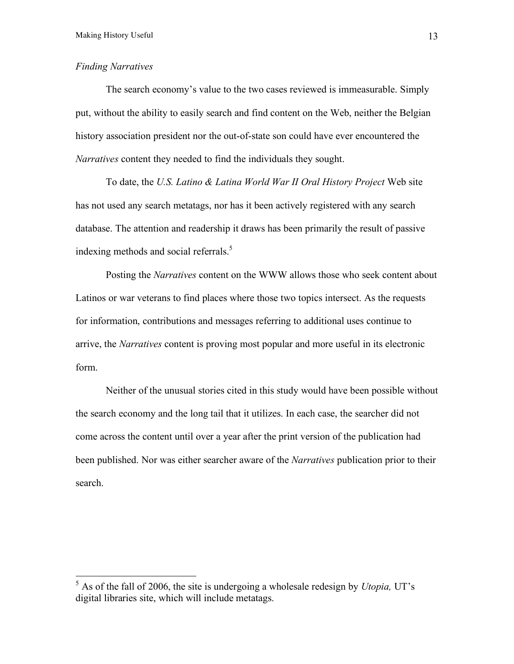# *Finding Narratives*

The search economy's value to the two cases reviewed is immeasurable. Simply put, without the ability to easily search and find content on the Web, neither the Belgian history association president nor the out-of-state son could have ever encountered the *Narratives* content they needed to find the individuals they sought.

To date, the *U.S. Latino & Latina World War II Oral History Project* Web site has not used any search metatags, nor has it been actively registered with any search database. The attention and readership it draws has been primarily the result of passive indexing methods and social referrals. 5

Posting the *Narratives* content on the WWW allows those who seek content about Latinos or war veterans to find places where those two topics intersect. As the requests for information, contributions and messages referring to additional uses continue to arrive, the *Narratives* content is proving most popular and more useful in its electronic form.

Neither of the unusual stories cited in this study would have been possible without the search economy and the long tail that it utilizes. In each case, the searcher did not come across the content until over a year after the print version of the publication had been published. Nor was either searcher aware of the *Narratives* publication prior to their search.

 <sup>5</sup> As of the fall of 2006, the site is undergoing <sup>a</sup> wholesale redesign by *Utopia,* UT's digital libraries site, which will include metatags.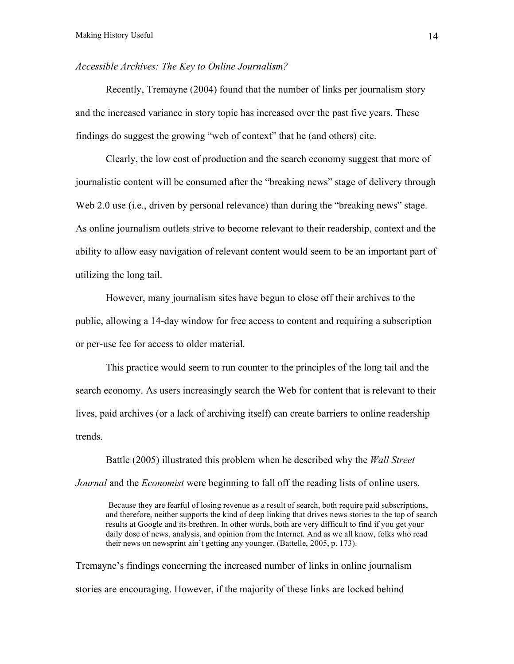# *Accessible Archives: The Key to Online Journalism?*

Recently, Tremayne (2004) found that the number of links per journalism story and the increased variance in story topic has increased over the past five years. These findings do suggest the growing "web of context" that he (and others) cite.

Clearly, the low cost of production and the search economy suggest that more of journalistic content will be consumed after the "breaking news" stage of delivery through Web 2.0 use (i.e., driven by personal relevance) than during the "breaking news" stage. As online journalism outlets strive to become relevant to their readership, context and the ability to allow easy navigation of relevant content would seem to be an important part of utilizing the long tail.

However, many journalism sites have begun to close off their archives to the public, allowing a 14-day window for free access to content and requiring a subscription or per-use fee for access to older material.

This practice would seem to run counter to the principles of the long tail and the search economy. As users increasingly search the Web for content that is relevant to their lives, paid archives (or a lack of archiving itself) can create barriers to online readership trends.

Battle (2005) illustrated this problem when he described why the *Wall Street Journal* and the *Economist* were beginning to fall off the reading lists of online users.

Because they are fearful of losing revenue as a result of search, both require paid subscriptions, and therefore, neither supports the kind of deep linking that drives news stories to the top of search results at Google and its brethren. In other words, both are very difficult to find if you get your daily dose of news, analysis, and opinion from the Internet. And as we all know, folks who read their news on newsprint ain't getting any younger. (Battelle, 2005, p. 173).

Tremayne's findings concerning the increased number of links in online journalism stories are encouraging. However, if the majority of these links are locked behind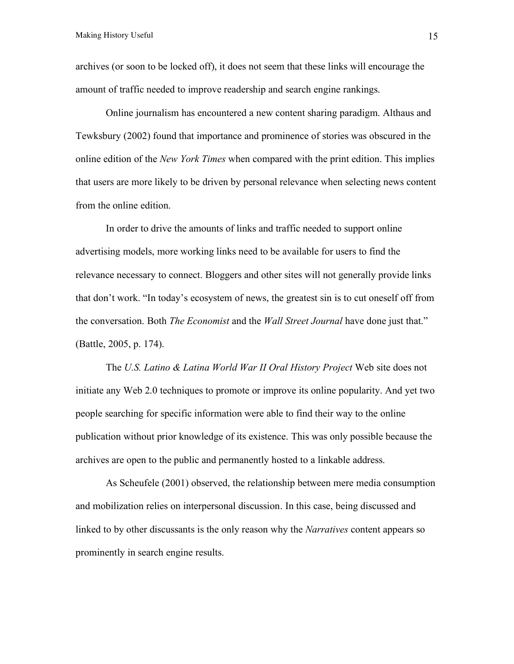archives (or soon to be locked off), it does not seem that these links will encourage the amount of traffic needed to improve readership and search engine rankings.

Online journalism has encountered a new content sharing paradigm. Althaus and Tewksbury (2002) found that importance and prominence of stories was obscured in the online edition of the *New York Times* when compared with the print edition. This implies that users are more likely to be driven by personal relevance when selecting news content from the online edition.

In order to drive the amounts of links and traffic needed to support online advertising models, more working links need to be available for users to find the relevance necessary to connect. Bloggers and other sites will not generally provide links that don't work. "In today's ecosystem of news, the greatest sin is to cut oneself off from the conversation. Both *The Economist* and the *Wall Street Journal* have done just that." (Battle, 2005, p. 174).

The *U.S. Latino & Latina World War II Oral History Project* Web site does not initiate any Web 2.0 techniques to promote or improve its online popularity. And yet two people searching for specific information were able to find their way to the online publication without prior knowledge of its existence. This was only possible because the archives are open to the public and permanently hosted to a linkable address.

As Scheufele (2001) observed, the relationship between mere media consumption and mobilization relies on interpersonal discussion. In this case, being discussed and linked to by other discussants is the only reason why the *Narratives* content appears so prominently in search engine results.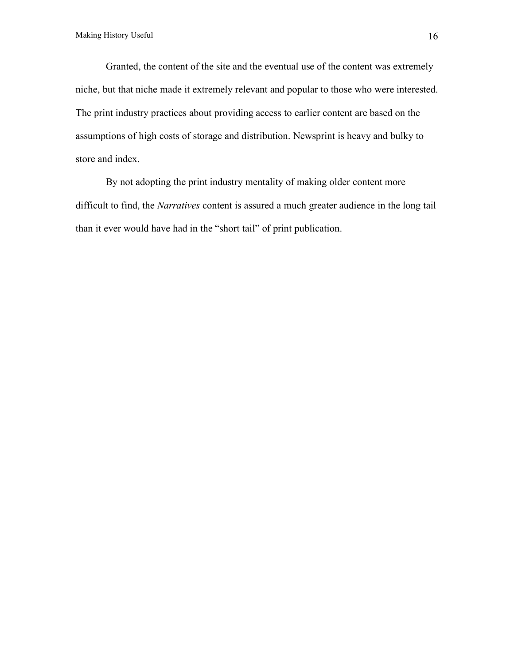Granted, the content of the site and the eventual use of the content was extremely niche, but that niche made it extremely relevant and popular to those who were interested. The print industry practices about providing access to earlier content are based on the assumptions of high costs of storage and distribution. Newsprint is heavy and bulky to store and index.

By not adopting the print industry mentality of making older content more difficult to find, the *Narratives* content is assured a much greater audience in the long tail than it ever would have had in the "short tail" of print publication.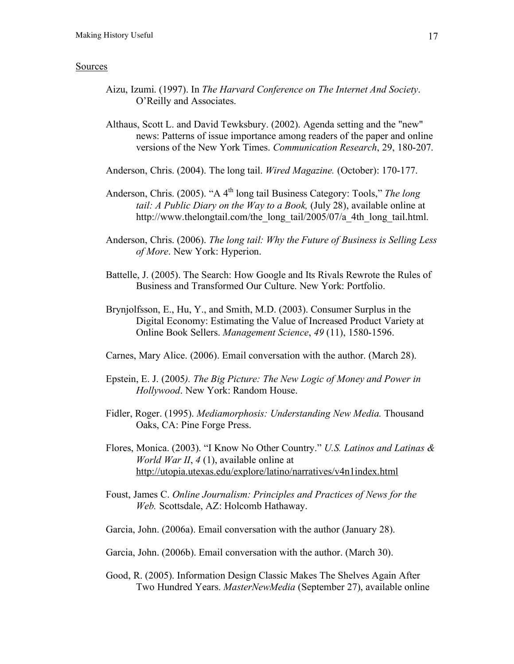### Sources

- Aizu, Izumi. (1997). In *The Harvard Conference on The Internet And Society*. O'Reilly and Associates.
- Althaus, Scott L. and David Tewksbury. (2002). Agenda setting and the "new" news: Patterns of issue importance among readers of the paper and online versions of the New York Times. *Communication Research*, 29, 180-207.
- Anderson, Chris. (2004). The long tail. *Wired Magazine.* (October): 170-177.
- Anderson, Chris. (2005). "A 4<sup>th</sup> long tail Business Category: Tools," *The long tail: A Public Diary on the Way to a Book,* (July 28), available online at http://www.thelongtail.com/the\_long\_tail/2005/07/a\_4th\_long\_tail.html.
- Anderson, Chris. (2006). *The long tail: Why the Future of Business is Selling Less of More*. New York: Hyperion.
- Battelle, J. (2005). The Search: How Google and Its Rivals Rewrote the Rules of Business and Transformed Our Culture. New York: Portfolio.
- Brynjolfsson, E., Hu, Y., and Smith, M.D. (2003). Consumer Surplus in the Digital Economy: Estimating the Value of Increased Product Variety at Online Book Sellers. *Management Science*, *49* (11), 1580-1596.
- Carnes, Mary Alice. (2006). Email conversation with the author. (March 28).
- Epstein, E. J. (2005*). The Big Picture: The New Logic of Money and Power in Hollywood*. New York: Random House.
- Fidler, Roger. (1995). *Mediamorphosis: Understanding New Media.* Thousand Oaks, CA: Pine Forge Press.
- Flores, Monica. (2003). "I Know No Other Country." *U.S. Latinos and Latinas & World War II*, *4* (1), available online at http://utopia.utexas.edu/explore/latino/narratives/v4n1index.html
- Foust, James C. *Online Journalism: Principles and Practices of News for the Web.* Scottsdale, AZ: Holcomb Hathaway.
- Garcia, John. (2006a). Email conversation with the author (January 28).
- Garcia, John. (2006b). Email conversation with the author. (March 30).
- Good, R. (2005). Information Design Classic Makes The Shelves Again After Two Hundred Years. *MasterNewMedia* (September 27), available online